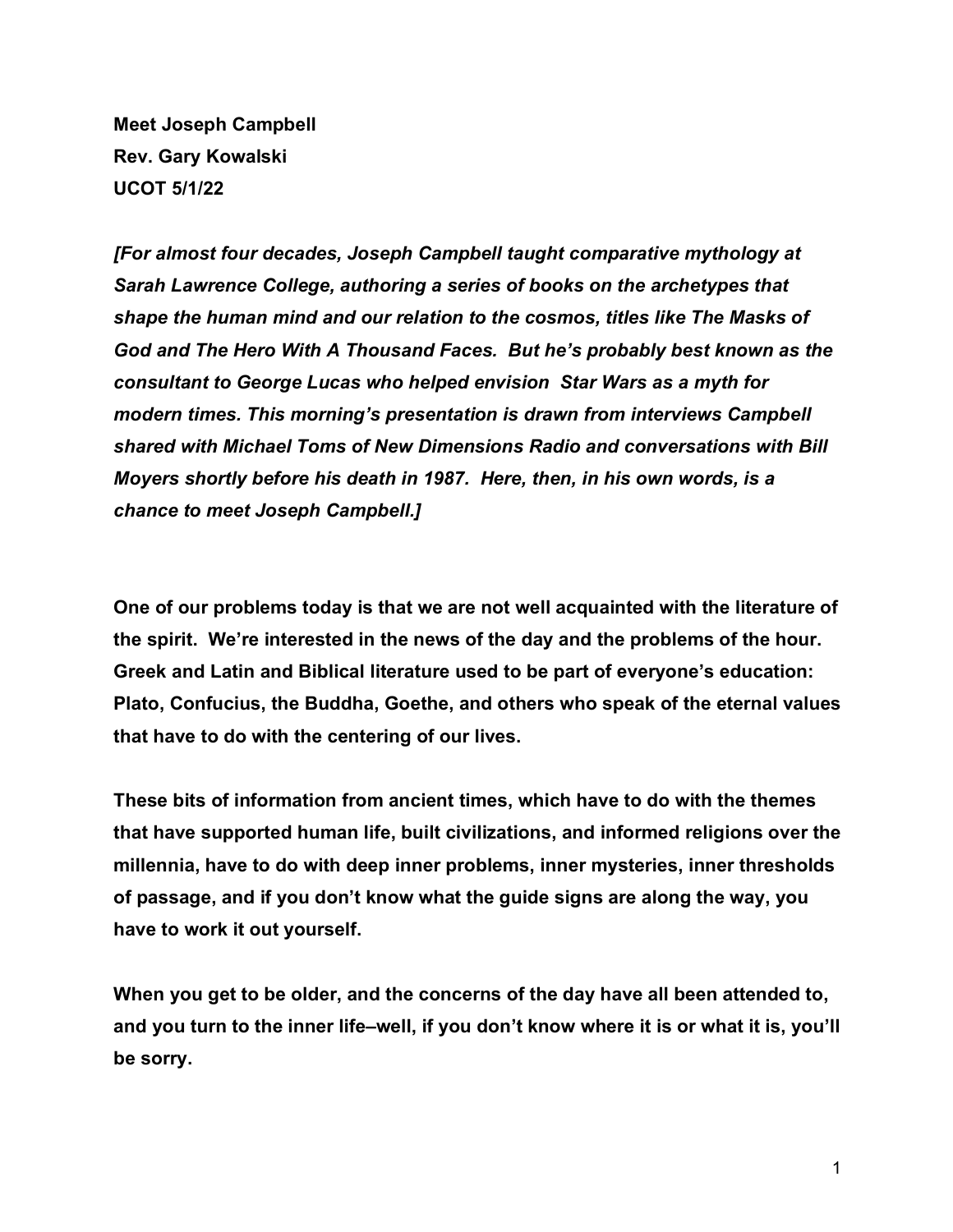**Meet Joseph Campbell Rev. Gary Kowalski UCOT 5/1/22**

*[For almost four decades, Joseph Campbell taught comparative mythology at Sarah Lawrence College, authoring a series of books on the archetypes that shape the human mind and our relation to the cosmos, titles like The Masks of God and The Hero With A Thousand Faces. But he's probably best known as the consultant to George Lucas who helped envision Star Wars as a myth for modern times. This morning's presentation is drawn from interviews Campbell shared with Michael Toms of New Dimensions Radio and conversations with Bill Moyers shortly before his death in 1987. Here, then, in his own words, is a chance to meet Joseph Campbell.]*

**One of our problems today is that we are not well acquainted with the literature of the spirit. We're interested in the news of the day and the problems of the hour. Greek and Latin and Biblical literature used to be part of everyone's education: Plato, Confucius, the Buddha, Goethe, and others who speak of the eternal values that have to do with the centering of our lives.**

**These bits of information from ancient times, which have to do with the themes that have supported human life, built civilizations, and informed religions over the millennia, have to do with deep inner problems, inner mysteries, inner thresholds of passage, and if you don't know what the guide signs are along the way, you have to work it out yourself.**

**When you get to be older, and the concerns of the day have all been attended to, and you turn to the inner life–well, if you don't know where it is or what it is, you'll be sorry.**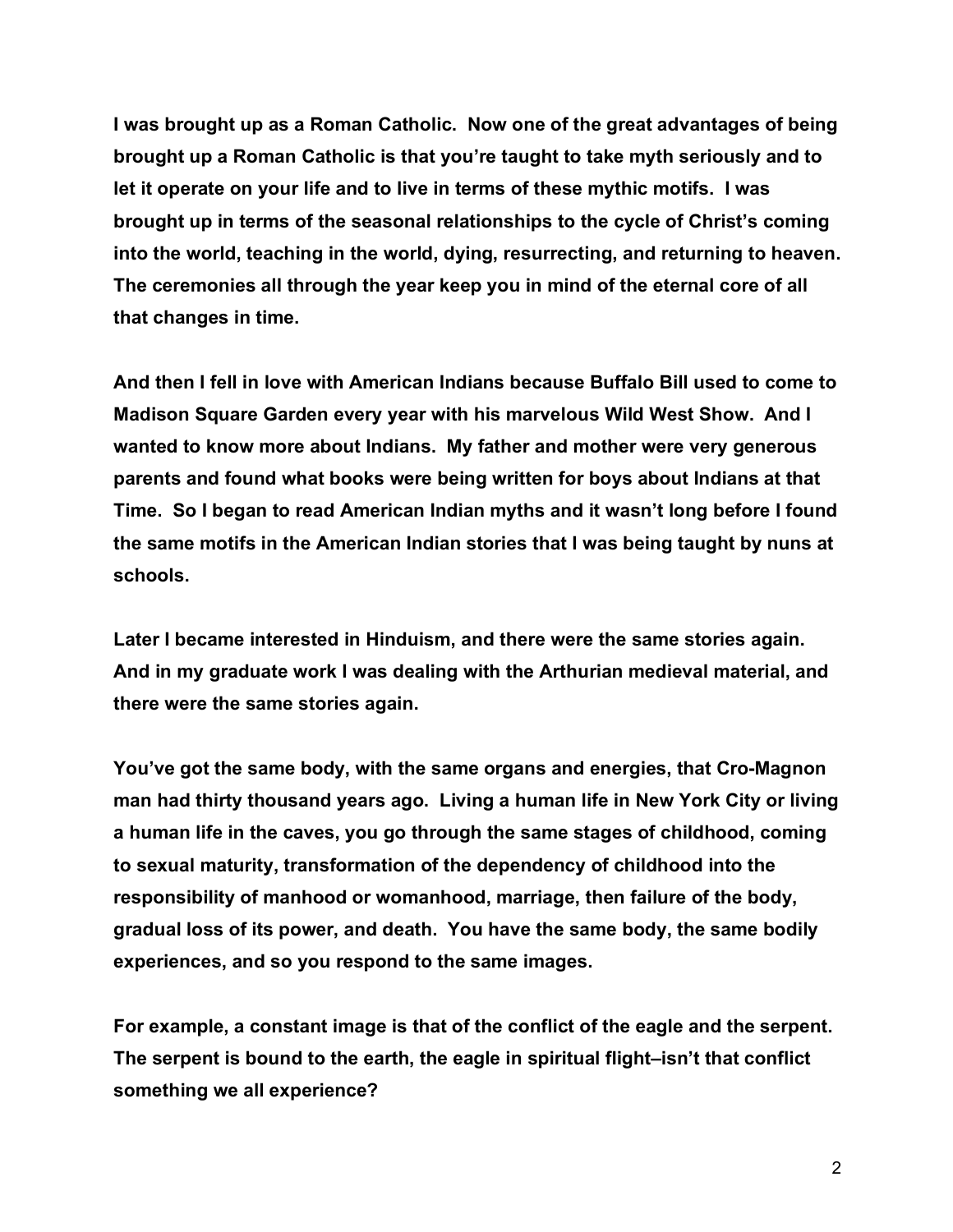**I was brought up as a Roman Catholic. Now one of the great advantages of being brought up a Roman Catholic is that you're taught to take myth seriously and to let it operate on your life and to live in terms of these mythic motifs. I was brought up in terms of the seasonal relationships to the cycle of Christ's coming into the world, teaching in the world, dying, resurrecting, and returning to heaven. The ceremonies all through the year keep you in mind of the eternal core of all that changes in time.** 

**And then I fell in love with American Indians because Buffalo Bill used to come to Madison Square Garden every year with his marvelous Wild West Show. And I wanted to know more about Indians. My father and mother were very generous parents and found what books were being written for boys about Indians at that Time. So I began to read American Indian myths and it wasn't long before I found the same motifs in the American Indian stories that I was being taught by nuns at schools.**

**Later I became interested in Hinduism, and there were the same stories again. And in my graduate work I was dealing with the Arthurian medieval material, and there were the same stories again.**

**You've got the same body, with the same organs and energies, that Cro-Magnon man had thirty thousand years ago. Living a human life in New York City or living a human life in the caves, you go through the same stages of childhood, coming to sexual maturity, transformation of the dependency of childhood into the responsibility of manhood or womanhood, marriage, then failure of the body, gradual loss of its power, and death. You have the same body, the same bodily experiences, and so you respond to the same images.**

**For example, a constant image is that of the conflict of the eagle and the serpent. The serpent is bound to the earth, the eagle in spiritual flight–isn't that conflict something we all experience?**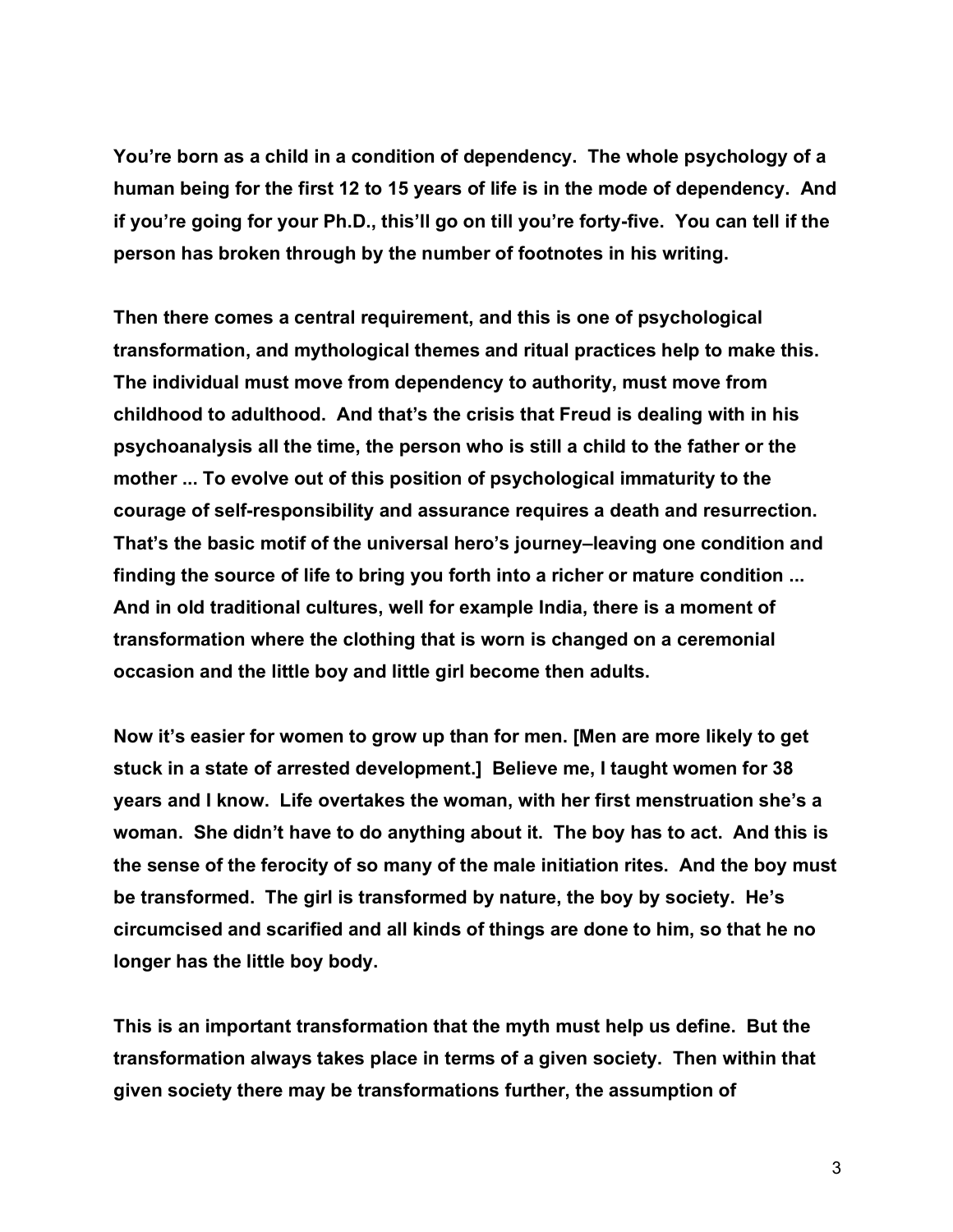**You're born as a child in a condition of dependency. The whole psychology of a human being for the first 12 to 15 years of life is in the mode of dependency. And if you're going for your Ph.D., this'll go on till you're forty-five. You can tell if the person has broken through by the number of footnotes in his writing.**

**Then there comes a central requirement, and this is one of psychological transformation, and mythological themes and ritual practices help to make this. The individual must move from dependency to authority, must move from childhood to adulthood. And that's the crisis that Freud is dealing with in his psychoanalysis all the time, the person who is still a child to the father or the mother ... To evolve out of this position of psychological immaturity to the courage of self-responsibility and assurance requires a death and resurrection. That's the basic motif of the universal hero's journey–leaving one condition and finding the source of life to bring you forth into a richer or mature condition ... And in old traditional cultures, well for example India, there is a moment of transformation where the clothing that is worn is changed on a ceremonial occasion and the little boy and little girl become then adults.**

**Now it's easier for women to grow up than for men. [Men are more likely to get stuck in a state of arrested development.] Believe me, I taught women for 38 years and I know. Life overtakes the woman, with her first menstruation she's a woman. She didn't have to do anything about it. The boy has to act. And this is the sense of the ferocity of so many of the male initiation rites. And the boy must be transformed. The girl is transformed by nature, the boy by society. He's circumcised and scarified and all kinds of things are done to him, so that he no longer has the little boy body.**

**This is an important transformation that the myth must help us define. But the transformation always takes place in terms of a given society. Then within that given society there may be transformations further, the assumption of**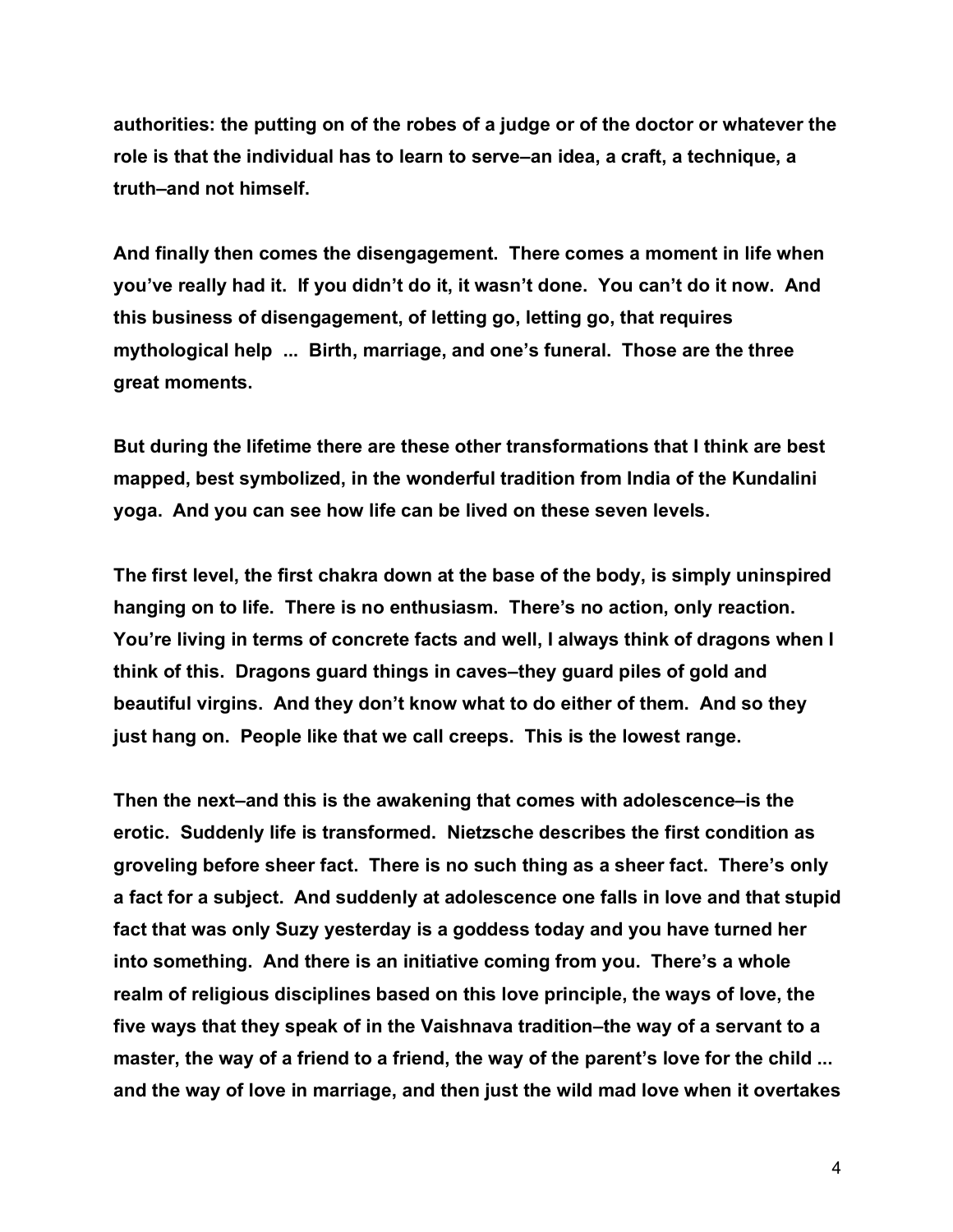**authorities: the putting on of the robes of a judge or of the doctor or whatever the role is that the individual has to learn to serve–an idea, a craft, a technique, a truth–and not himself.** 

**And finally then comes the disengagement. There comes a moment in life when you've really had it. If you didn't do it, it wasn't done. You can't do it now. And this business of disengagement, of letting go, letting go, that requires mythological help ... Birth, marriage, and one's funeral. Those are the three great moments.**

**But during the lifetime there are these other transformations that I think are best mapped, best symbolized, in the wonderful tradition from India of the Kundalini yoga. And you can see how life can be lived on these seven levels.**

**The first level, the first chakra down at the base of the body, is simply uninspired hanging on to life. There is no enthusiasm. There's no action, only reaction. You're living in terms of concrete facts and well, I always think of dragons when I think of this. Dragons guard things in caves–they guard piles of gold and beautiful virgins. And they don't know what to do either of them. And so they just hang on. People like that we call creeps. This is the lowest range.**

**Then the next–and this is the awakening that comes with adolescence–is the erotic. Suddenly life is transformed. Nietzsche describes the first condition as groveling before sheer fact. There is no such thing as a sheer fact. There's only a fact for a subject. And suddenly at adolescence one falls in love and that stupid fact that was only Suzy yesterday is a goddess today and you have turned her into something. And there is an initiative coming from you. There's a whole realm of religious disciplines based on this love principle, the ways of love, the five ways that they speak of in the Vaishnava tradition–the way of a servant to a master, the way of a friend to a friend, the way of the parent's love for the child ... and the way of love in marriage, and then just the wild mad love when it overtakes**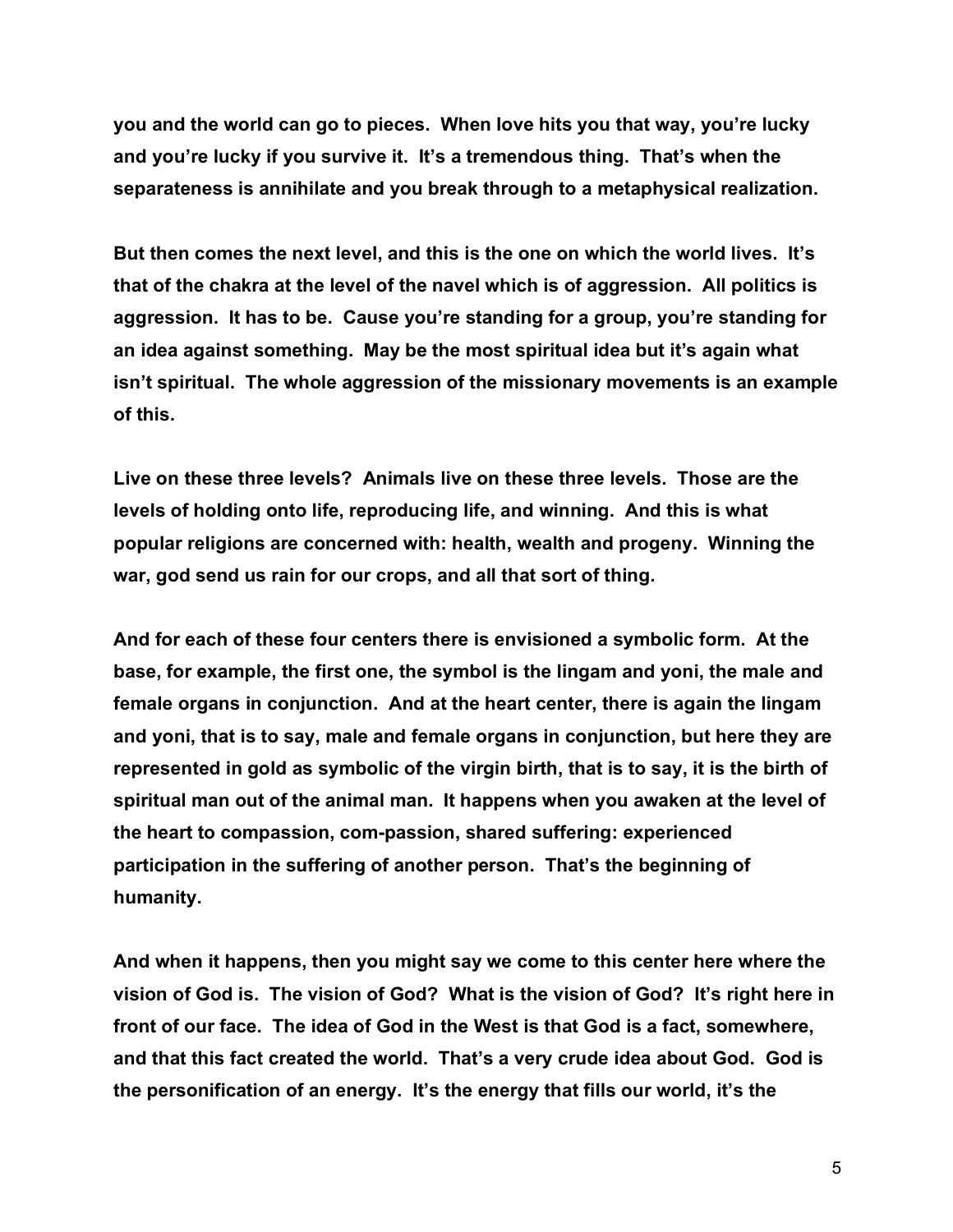**you and the world can go to pieces. When love hits you that way, you're lucky and you're lucky if you survive it. It's a tremendous thing. That's when the separateness is annihilate and you break through to a metaphysical realization.** 

**But then comes the next level, and this is the one on which the world lives. It's that of the chakra at the level of the navel which is of aggression. All politics is aggression. It has to be. Cause you're standing for a group, you're standing for an idea against something. May be the most spiritual idea but it's again what isn't spiritual. The whole aggression of the missionary movements is an example of this.**

**Live on these three levels? Animals live on these three levels. Those are the levels of holding onto life, reproducing life, and winning. And this is what popular religions are concerned with: health, wealth and progeny. Winning the war, god send us rain for our crops, and all that sort of thing.**

**And for each of these four centers there is envisioned a symbolic form. At the base, for example, the first one, the symbol is the lingam and yoni, the male and female organs in conjunction. And at the heart center, there is again the lingam and yoni, that is to say, male and female organs in conjunction, but here they are represented in gold as symbolic of the virgin birth, that is to say, it is the birth of spiritual man out of the animal man. It happens when you awaken at the level of the heart to compassion, com-passion, shared suffering: experienced participation in the suffering of another person. That's the beginning of humanity.**

**And when it happens, then you might say we come to this center here where the vision of God is. The vision of God? What is the vision of God? It's right here in front of our face. The idea of God in the West is that God is a fact, somewhere, and that this fact created the world. That's a very crude idea about God. God is the personification of an energy. It's the energy that fills our world, it's the**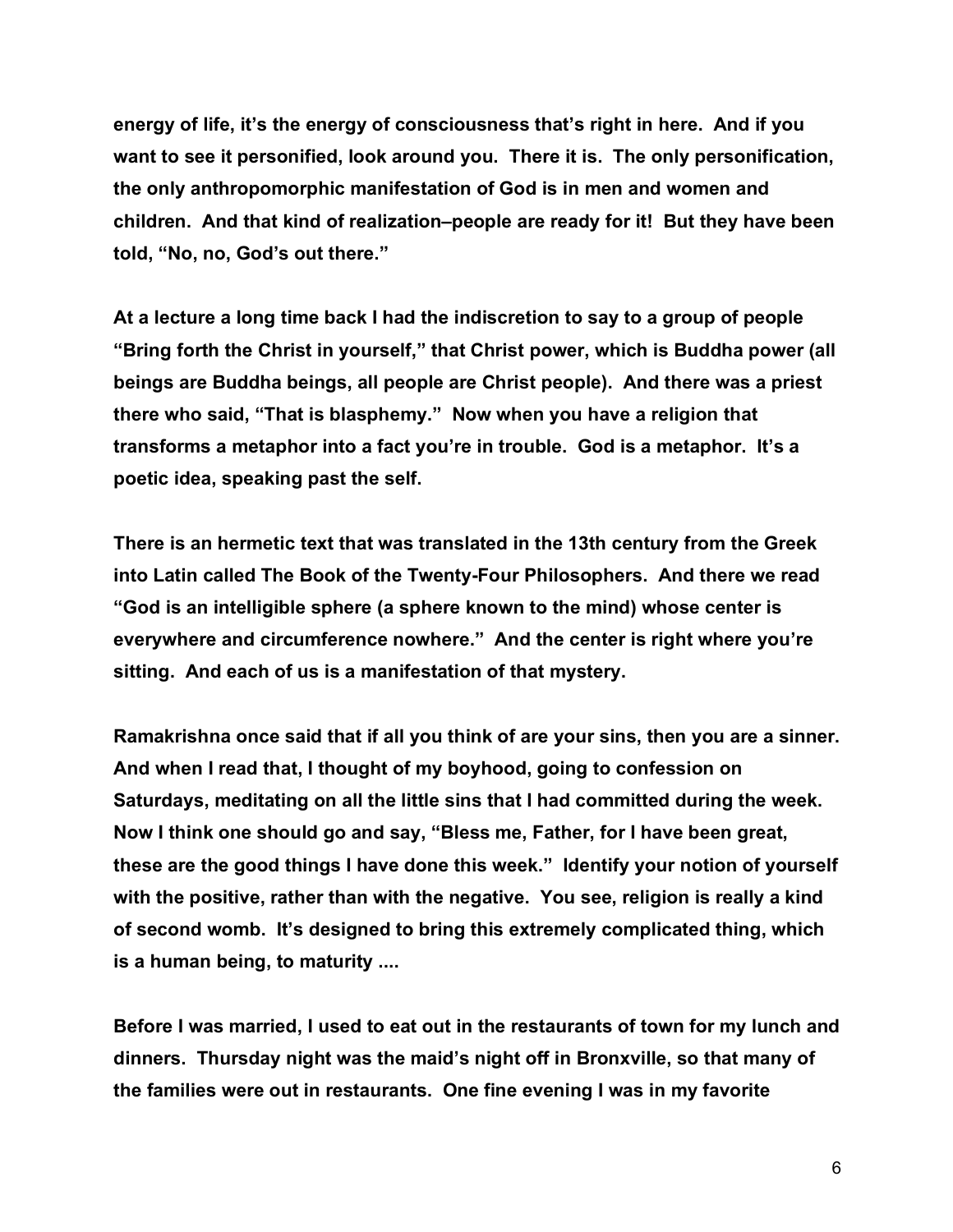**energy of life, it's the energy of consciousness that's right in here. And if you want to see it personified, look around you. There it is. The only personification, the only anthropomorphic manifestation of God is in men and women and children. And that kind of realization–people are ready for it! But they have been told, "No, no, God's out there."**

**At a lecture a long time back I had the indiscretion to say to a group of people "Bring forth the Christ in yourself," that Christ power, which is Buddha power (all beings are Buddha beings, all people are Christ people). And there was a priest there who said, "That is blasphemy." Now when you have a religion that transforms a metaphor into a fact you're in trouble. God is a metaphor. It's a poetic idea, speaking past the self.**

**There is an hermetic text that was translated in the 13th century from the Greek into Latin called The Book of the Twenty-Four Philosophers. And there we read "God is an intelligible sphere (a sphere known to the mind) whose center is everywhere and circumference nowhere." And the center is right where you're sitting. And each of us is a manifestation of that mystery.**

**Ramakrishna once said that if all you think of are your sins, then you are a sinner. And when I read that, I thought of my boyhood, going to confession on Saturdays, meditating on all the little sins that I had committed during the week. Now I think one should go and say, "Bless me, Father, for I have been great, these are the good things I have done this week." Identify your notion of yourself with the positive, rather than with the negative. You see, religion is really a kind of second womb. It's designed to bring this extremely complicated thing, which is a human being, to maturity ....**

**Before I was married, I used to eat out in the restaurants of town for my lunch and dinners. Thursday night was the maid's night off in Bronxville, so that many of the families were out in restaurants. One fine evening I was in my favorite**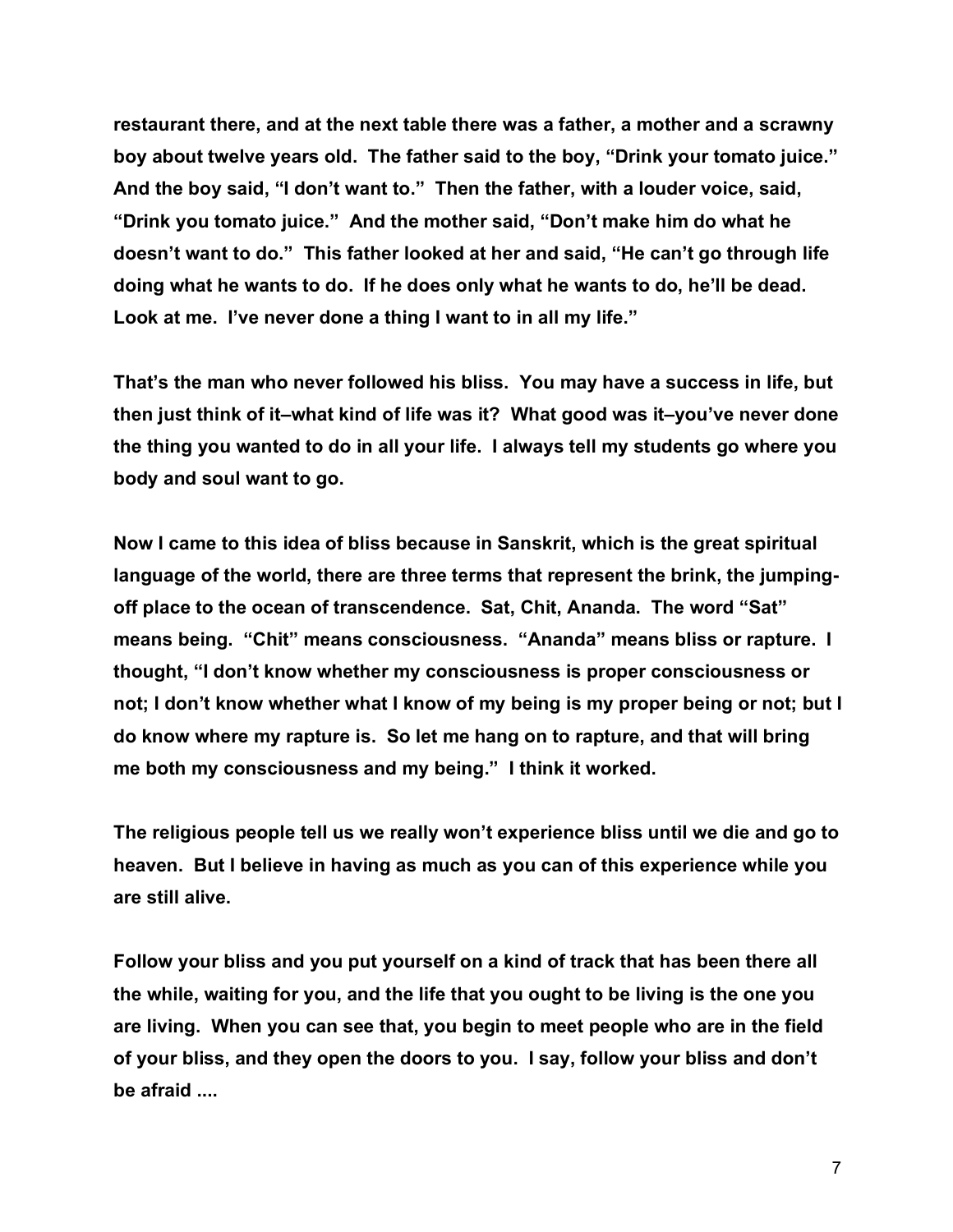**restaurant there, and at the next table there was a father, a mother and a scrawny boy about twelve years old. The father said to the boy, "Drink your tomato juice." And the boy said, "I don't want to." Then the father, with a louder voice, said, "Drink you tomato juice." And the mother said, "Don't make him do what he doesn't want to do." This father looked at her and said, "He can't go through life doing what he wants to do. If he does only what he wants to do, he'll be dead. Look at me. I've never done a thing I want to in all my life."** 

**That's the man who never followed his bliss. You may have a success in life, but then just think of it–what kind of life was it? What good was it–you've never done the thing you wanted to do in all your life. I always tell my students go where you body and soul want to go.**

**Now I came to this idea of bliss because in Sanskrit, which is the great spiritual language of the world, there are three terms that represent the brink, the jumpingoff place to the ocean of transcendence. Sat, Chit, Ananda. The word "Sat" means being. "Chit" means consciousness. "Ananda" means bliss or rapture. I thought, "I don't know whether my consciousness is proper consciousness or not; I don't know whether what I know of my being is my proper being or not; but I do know where my rapture is. So let me hang on to rapture, and that will bring me both my consciousness and my being." I think it worked.**

**The religious people tell us we really won't experience bliss until we die and go to heaven. But I believe in having as much as you can of this experience while you are still alive.**

**Follow your bliss and you put yourself on a kind of track that has been there all the while, waiting for you, and the life that you ought to be living is the one you are living. When you can see that, you begin to meet people who are in the field of your bliss, and they open the doors to you. I say, follow your bliss and don't be afraid ....**